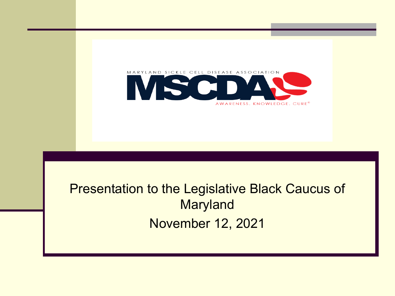

#### Presentation to the Legislative Black Caucus of **Maryland** November 12, 2021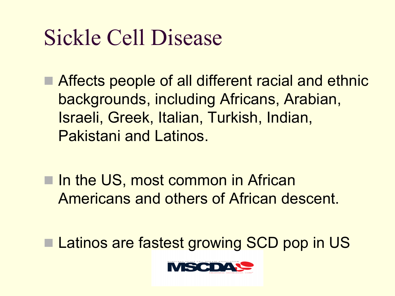# Sickle Cell Disease

- Affects people of all different racial and ethnic backgrounds, including Africans, Arabian, Israeli, Greek, Italian, Turkish, Indian, Pakistani and Latinos.
- In the US, most common in African Americans and others of African descent.
- Latinos are fastest growing SCD pop in US

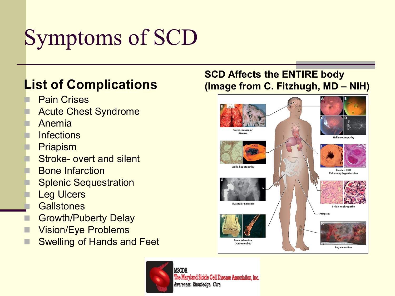# Symptoms of SCD

#### **List of Complications**

- **Pain Crises**
- **Acute Chest Syndrome**
- **Anemia**
- **Infections**
- **Priapism**
- **Stroke- overt and silent**
- **Bone Infarction**
- **Splenic Sequestration**
- **Leg Ulcers**
- **Gallstones**
- Growth/Puberty Delay
- **Vision/Eye Problems**
- Swelling of Hands and Feet

#### **MSCDA** The Maryland Sickle Cell Disease Association, Inc. Awareness. Knowledge. Cure.

#### **SCD Affects the ENTIRE body (Image from C. Fitzhugh, MD – NIH)**

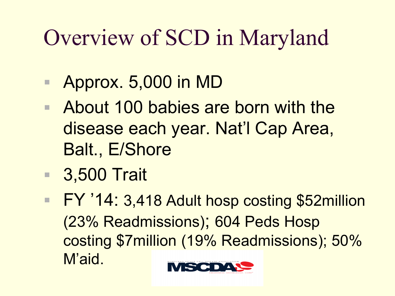# Overview of SCD in Maryland

- Approx. 5,000 in MD
- About 100 babies are born with the disease each year. Nat'l Cap Area, Balt., E/Shore
- 3,500 Trait
- FY '14: 3,418 Adult hosp costing \$52million (23% Readmissions); 604 Peds Hosp costing \$7million (19% Readmissions); 50% M'aid.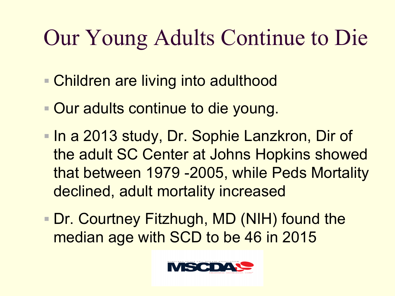# Our Young Adults Continue to Die

- Children are living into adulthood
- **Our adults continue to die young.**
- **In a 2013 study, Dr. Sophie Lanzkron, Dir of** the adult SC Center at Johns Hopkins showed that between 1979 -2005, while Peds Mortality declined, adult mortality increased
- Dr. Courtney Fitzhugh, MD (NIH) found the median age with SCD to be 46 in 2015

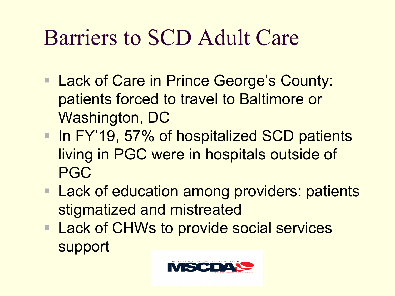# Barriers to SCD Adult Care

- Lack of Care in Prince George's County: patients forced to travel to Baltimore or Washington, DC
- In FY'19, 57% of hospitalized SCD patients living in PGC were in hospitals outside of PGC
- Lack of education among providers: patients stigmatized and mistreated
- Lack of CHWs to provide social services support

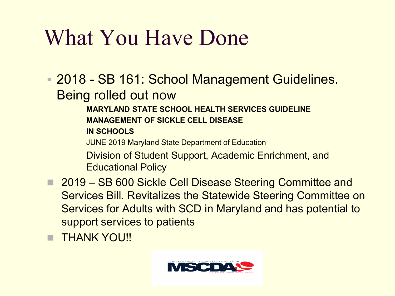# What You Have Done

- **E. 2018 SB 161: School Management Guidelines.** Being rolled out now
	- **MARYLAND STATE SCHOOL HEALTH SERVICES GUIDELINE MANAGEMENT OF SICKLE CELL DISEASE IN SCHOOLS**
	- JUNE 2019 Maryland State Department of Education
	- Division of Student Support, Academic Enrichment, and Educational Policy
- 2019 SB 600 Sickle Cell Disease Steering Committee and Services Bill. Revitalizes the Statewide Steering Committee on Services for Adults with SCD in Maryland and has potential to support services to patients
- **E THANK YOU!!**

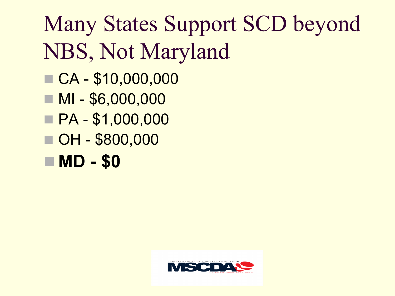# Many States Support SCD beyond NBS, Not Maryland

- CA \$10,000,000
- $M $6,000,000$
- PA \$1,000,000
- OH \$800,000
- MD \$0

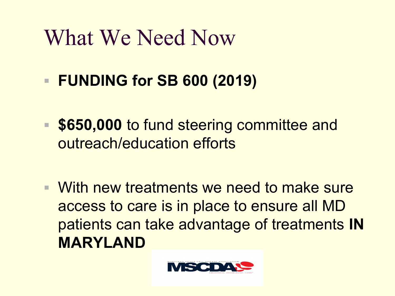# What We Need Now

- **FUNDING for SB 600 (2019)**
- \$650,000 to fund steering committee and outreach/education efforts
- With new treatments we need to make sure access to care is in place to ensure all MD patients can take advantage of treatments **IN MARYLAND**

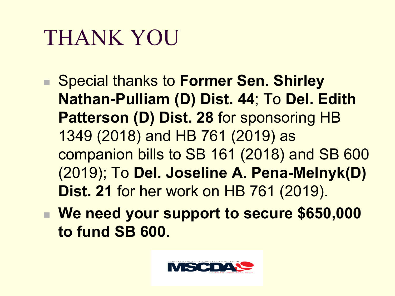## THANK YOU

- Special thanks to Former Sen. Shirley **Nathan-Pulliam (D) Dist. 44**; To **Del. Edith Patterson (D) Dist. 28** for sponsoring HB 1349 (2018) and HB 761 (2019) as companion bills to SB 161 (2018) and SB 600 (2019); To **Del. Joseline A. Pena-Melnyk(D) Dist. 21** for her work on HB 761 (2019).
- We need your support to secure \$650,000 **to fund SB 600.**